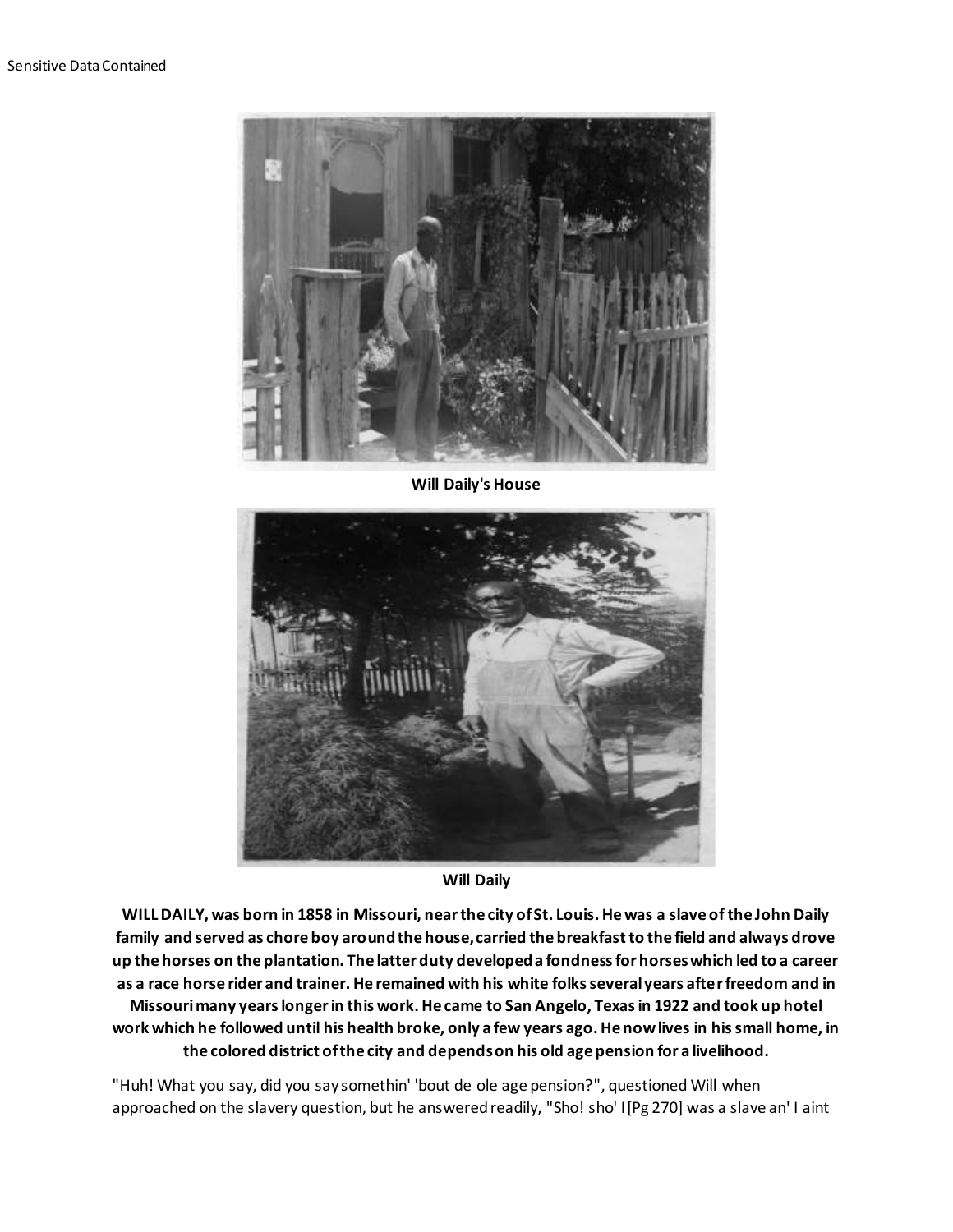

**Will Daily's House**



**Will Daily**

**WILL DAILY, was born in 1858 in Missouri, near the city of St. Louis. He was a slave of the John Daily family and served as chore boy around the house, carried the breakfast to the field and always drove up the horses on the plantation. The latter duty developed a fondness for horses which led to a career as a race horse rider and trainer. He remained with his white folks several years after freedom and in Missouri many years longer in this work. He came to San Angelo, Texas in 1922 and took up hotel work which he followed until his health broke, only a few years ago. He now lives in his small home, in the colored district of the city and depends on his old age pension for a livelihood.**

"Huh! What you say, did you say somethin' 'bout de ole age pension?", questioned Will when approached on the slavery question, but he answered readily, "Sho! sho' I[Pg 270] was a slave an' I aint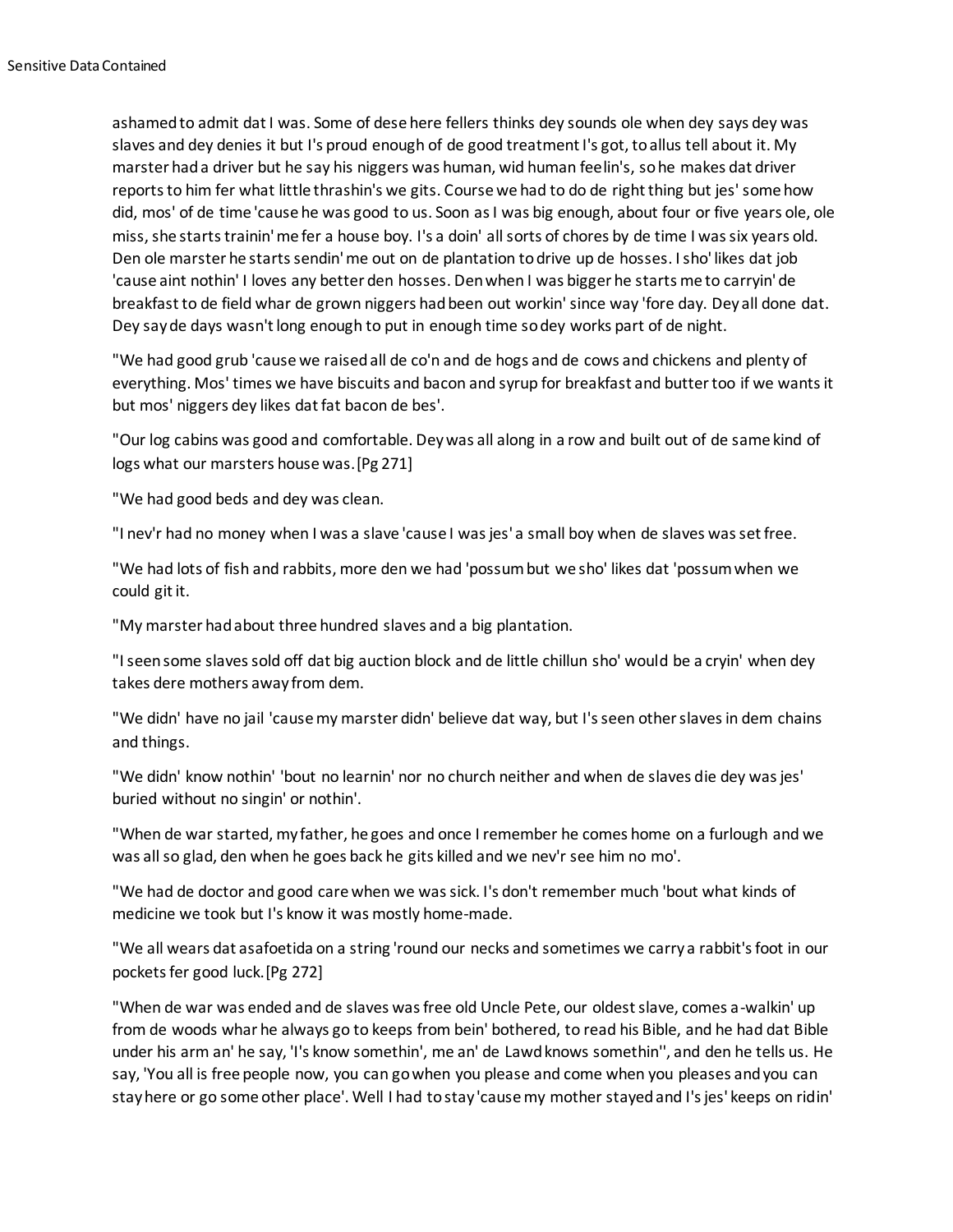ashamed to admit dat I was. Some of dese here fellers thinks dey sounds ole when dey says dey was slaves and dey denies it but I's proud enough of de good treatment I's got, to allus tell about it. My marster had a driver but he say his niggers was human, wid human feelin's, so he makes dat driver reports to him fer what little thrashin's we gits. Course we had to do de right thing but jes' some how did, mos' of de time 'cause he was good to us. Soon as I was big enough, about four or five years ole, ole miss, she starts trainin' me fer a house boy. I's a doin' all sorts of chores by de time I was six years old. Den ole marster he starts sendin' me out on de plantation to drive up de hosses. I sho' likes dat job 'cause aint nothin' I loves any better den hosses. Den when I was bigger he starts me to carryin' de breakfast to de field whar de grown niggers had been out workin' since way 'fore day. Dey all done dat. Dey say de days wasn't long enough to put in enough time so dey works part of de night.

"We had good grub 'cause we raised all de co'n and de hogs and de cows and chickens and plenty of everything. Mos' times we have biscuits and bacon and syrup for breakfast and butter too if we wants it but mos' niggers dey likes dat fat bacon de bes'.

"Our log cabins was good and comfortable. Dey was all along in a row and built out of de same kind of logs what our marsters house was.[Pg 271]

"We had good beds and dey was clean.

"I nev'r had no money when I was a slave 'cause I was jes' a small boy when de slaves was set free.

"We had lots of fish and rabbits, more den we had 'possum but we sho' likes dat 'possum when we could git it.

"My marster had about three hundred slaves and a big plantation.

"I seen some slaves sold off dat big auction block and de little chillun sho' would be a cryin' when dey takes dere mothers away from dem.

"We didn' have no jail 'cause my marster didn' believe dat way, but I's seen other slaves in dem chains and things.

"We didn' know nothin' 'bout no learnin' nor no church neither and when de slaves die dey was jes' buried without no singin' or nothin'.

"When de war started, my father, he goes and once I remember he comes home on a furlough and we was all so glad, den when he goes back he gits killed and we nev'r see him no mo'.

"We had de doctor and good care when we was sick. I's don't remember much 'bout what kinds of medicine we took but I's know it was mostly home-made.

"We all wears dat asafoetida on a string 'round our necks and sometimes we carry a rabbit's foot in our pockets fer good luck.[Pg 272]

"When de war was ended and de slaves was free old Uncle Pete, our oldest slave, comes a-walkin' up from de woods whar he always go to keeps from bein' bothered, to read his Bible, and he had dat Bible under his arm an' he say, 'I's know somethin', me an' de Lawd knows somethin'', and den he tells us. He say, 'You all is free people now, you can go when you please and come when you pleases and you can stay here or go some other place'. Well I had to stay 'cause my mother stayed and I's jes' keeps on ridin'